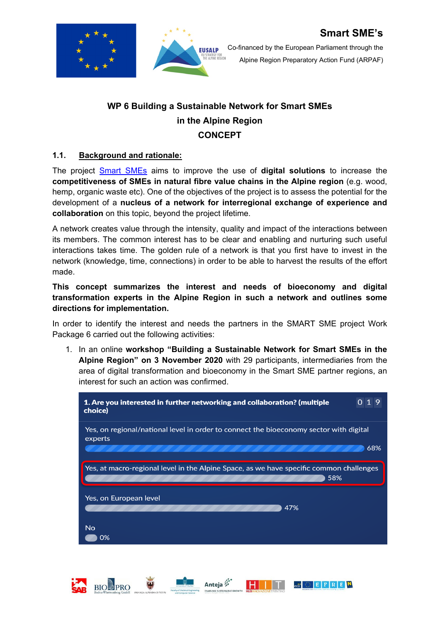



## **WP 6 Building a Sustainable Network for Smart SMEs in the Alpine Region CONCEPT**

#### **1.1. Background and rationale:**

**BIO**PRO

The project [Smart SMEs](https://www.alpine-region.eu/projects/smart-smes) aims to improve the use of **digital solutions** to increase the **competitiveness of SMEs in natural fibre value chains in the Alpine region** (e.g. wood, hemp, organic waste etc). One of the objectives of the project is to assess the potential for the development of a **nucleus of a network for interregional exchange of experience and collaboration** on this topic, beyond the project lifetime.

A network creates value through the intensity, quality and impact of the interactions between its members. The common interest has to be clear and enabling and nurturing such useful interactions takes time. The golden rule of a network is that you first have to invest in the network (knowledge, time, connections) in order to be able to harvest the results of the effort made.

#### **This concept summarizes the interest and needs of bioeconomy and digital transformation experts in the Alpine Region in such a network and outlines some directions for implementation.**

In order to identify the interest and needs the partners in the SMART SME project Work Package 6 carried out the following activities:

1. In an online **workshop "Building a Sustainable Network for Smart SMEs in the Alpine Region" on 3 November 2020** with 29 participants, intermediaries from the area of digital transformation and bioeconomy in the Smart SME partner regions, an interest for such an action was confirmed.



Anteja

HH

eco E F R E N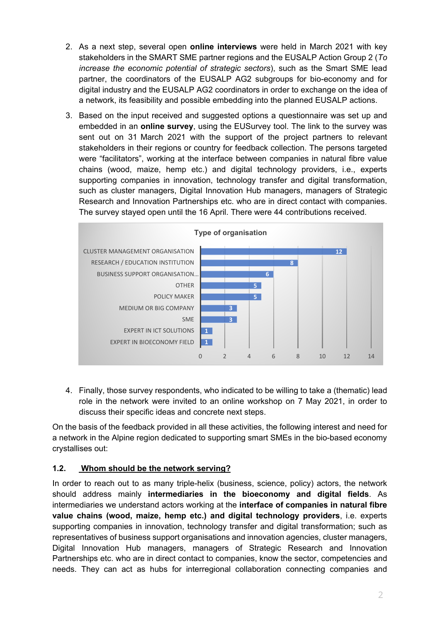- 2. As a next step, several open **online interviews** were held in March 2021 with key stakeholders in the SMART SME partner regions and the EUSALP Action Group 2 (*To increase the economic potential of strategic sectors*), such as the Smart SME lead partner, the coordinators of the EUSALP AG2 subgroups for bio-economy and for digital industry and the EUSALP AG2 coordinators in order to exchange on the idea of a network, its feasibility and possible embedding into the planned EUSALP actions.
- 3. Based on the input received and suggested options a questionnaire was set up and embedded in an **online survey**, using the EUSurvey tool. The link to the survey was sent out on 31 March 2021 with the support of the project partners to relevant stakeholders in their regions or country for feedback collection. The persons targeted were "facilitators", working at the interface between companies in natural fibre value chains (wood, maize, hemp etc.) and digital technology providers, i.e., experts supporting companies in innovation, technology transfer and digital transformation, such as cluster managers, Digital Innovation Hub managers, managers of Strategic Research and Innovation Partnerships etc. who are in direct contact with companies. The survey stayed open until the 16 April. There were 44 contributions received.



4. Finally, those survey respondents, who indicated to be willing to take a (thematic) lead role in the network were invited to an online workshop on 7 May 2021, in order to discuss their specific ideas and concrete next steps.

On the basis of the feedback provided in all these activities, the following interest and need for a network in the Alpine region dedicated to supporting smart SMEs in the bio-based economy crystallises out:

### **1.2. Whom should be the network serving?**

In order to reach out to as many triple-helix (business, science, policy) actors, the network should address mainly **intermediaries in the bioeconomy and digital fields**. As intermediaries we understand actors working at the **interface of companies in natural fibre value chains (wood, maize, hemp etc.) and digital technology providers**, i.e. experts supporting companies in innovation, technology transfer and digital transformation; such as representatives of business support organisations and innovation agencies, cluster managers, Digital Innovation Hub managers, managers of Strategic Research and Innovation Partnerships etc. who are in direct contact to companies, know the sector, competencies and needs. They can act as hubs for interregional collaboration connecting companies and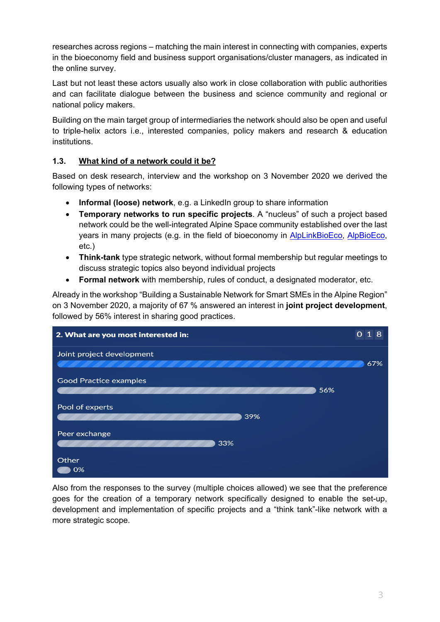researches across regions – matching the main interest in connecting with companies, experts in the bioeconomy field and business support organisations/cluster managers, as indicated in the online survey.

Last but not least these actors usually also work in close collaboration with public authorities and can facilitate dialogue between the business and science community and regional or national policy makers.

Building on the main target group of intermediaries the network should also be open and useful to triple-helix actors i.e., interested companies, policy makers and research & education institutions.

#### **1.3. What kind of a network could it be?**

Based on desk research, interview and the workshop on 3 November 2020 we derived the following types of networks:

- **Informal (loose) network**, e.g. a LinkedIn group to share information
- **Temporary networks to run specific projects**. A "nucleus" of such a project based network could be the well-integrated Alpine Space community established over the last years in many projects (e.g. in the field of bioeconomy in [AlpLinkBioEco,](https://www.alpine-space.eu/projects/alplinkbioeco/en/home) [AlpBioEco,](https://www.alpine-space.eu/projects/alpbioeco/en/home) etc.)
- **Think-tank** type strategic network, without formal membership but regular meetings to discuss strategic topics also beyond individual projects
- **Formal network** with membership, rules of conduct, a designated moderator, etc.

Already in the workshop "Building a Sustainable Network for Smart SMEs in the Alpine Region" on 3 November 2020, a majority of 67 % answered an interest in **joint project development**, followed by 56% interest in sharing good practices.



Also from the responses to the survey (multiple choices allowed) we see that the preference goes for the creation of a temporary network specifically designed to enable the set-up, development and implementation of specific projects and a "think tank"-like network with a more strategic scope.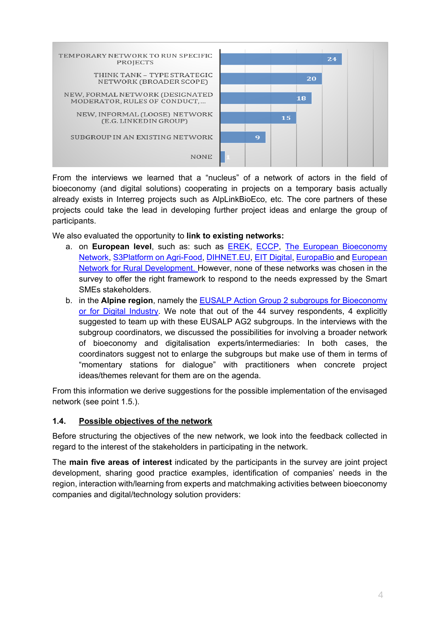

From the interviews we learned that a "nucleus" of a network of actors in the field of bioeconomy (and digital solutions) cooperating in projects on a temporary basis actually already exists in Interreg projects such as AlpLinkBioEco, etc. The core partners of these projects could take the lead in developing further project ideas and enlarge the group of participants.

We also evaluated the opportunity to **link to existing networks:**

- a. on **European level**, such as: such as [EREK,](https://resourceefficient.eu/en) [ECCP,](https://www.clustercollaboration.eu/) [The European Bioeconomy](https://eubionet.eu/)  [Network,](https://eubionet.eu/) [S3Platform on Agri-Food,](https://s3platform.jrc.ec.europa.eu/agri-food) [DIHNET.EU,](https://dihnet.eu/) [EIT Digital,](https://www.eitdigital.eu/) [EuropaBio](https://www.europabio.org/) and [European](https://enrd.ec.europa.eu/)  [Network for Rural Development.](https://enrd.ec.europa.eu/) However, none of these networks was chosen in the survey to offer the right framework to respond to the needs expressed by the Smart SMEs stakeholders.
- b. in the **Alpine region**, namely the [EUSALP Action Group 2 subgroups for Bioeconomy](https://www.alpine-region.eu/action-group-2)  [or for Digital Industry.](https://www.alpine-region.eu/action-group-2) We note that out of the 44 survey respondents, 4 explicitly suggested to team up with these EUSALP AG2 subgroups. In the interviews with the subgroup coordinators, we discussed the possibilities for involving a broader network of bioeconomy and digitalisation experts/intermediaries: In both cases, the coordinators suggest not to enlarge the subgroups but make use of them in terms of "momentary stations for dialogue" with practitioners when concrete project ideas/themes relevant for them are on the agenda.

From this information we derive suggestions for the possible implementation of the envisaged network (see point 1.5.).

#### **1.4. Possible objectives of the network**

Before structuring the objectives of the new network, we look into the feedback collected in regard to the interest of the stakeholders in participating in the network.

The **main five areas of interest** indicated by the participants in the survey are joint project development, sharing good practice examples, identification of companies' needs in the region, interaction with/learning from experts and matchmaking activities between bioeconomy companies and digital/technology solution providers: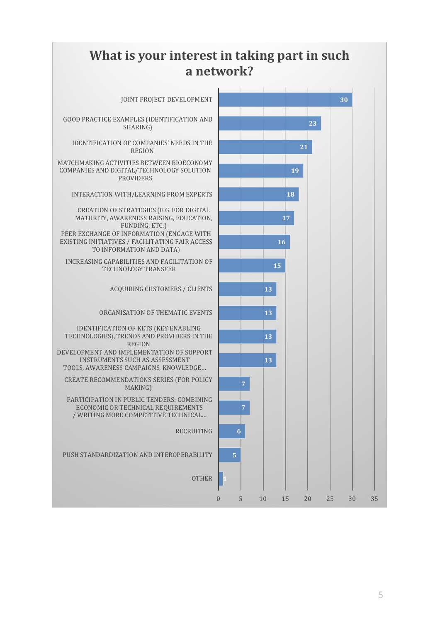# **What is your interest in taking part in such a network?**

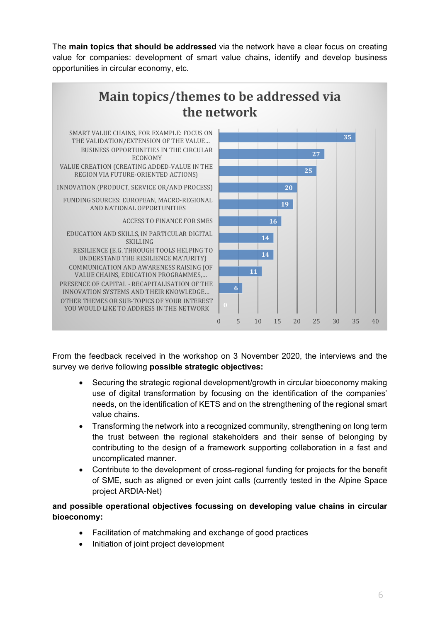The **main topics that should be addressed** via the network have a clear focus on creating value for companies: development of smart value chains, identify and develop business opportunities in circular economy, etc.



From the feedback received in the workshop on 3 November 2020, the interviews and the survey we derive following **possible strategic objectives:**

- Securing the strategic regional development/growth in circular bioeconomy making use of digital transformation by focusing on the identification of the companies' needs, on the identification of KETS and on the strengthening of the regional smart value chains.
- Transforming the network into a recognized community, strengthening on long term the trust between the regional stakeholders and their sense of belonging by contributing to the design of a framework supporting collaboration in a fast and uncomplicated manner.
- Contribute to the development of cross-regional funding for projects for the benefit of SME, such as aligned or even joint calls (currently tested in the Alpine Space project ARDIA-Net)

#### **and possible operational objectives focussing on developing value chains in circular bioeconomy:**

- Facilitation of matchmaking and exchange of good practices
- Initiation of joint project development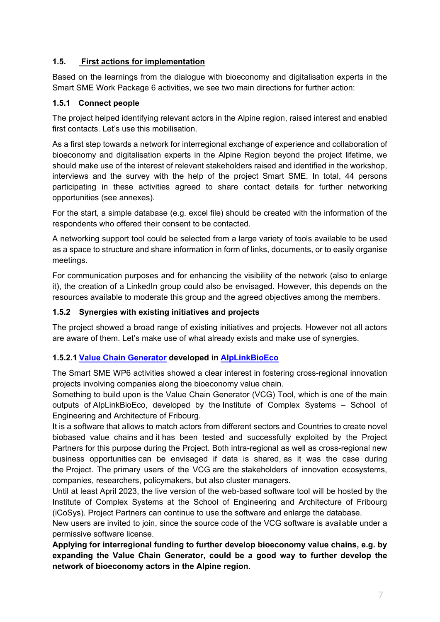#### **1.5. First actions for implementation**

Based on the learnings from the dialogue with bioeconomy and digitalisation experts in the Smart SME Work Package 6 activities, we see two main directions for further action:

#### **1.5.1 Connect people**

The project helped identifying relevant actors in the Alpine region, raised interest and enabled first contacts. Let's use this mobilisation.

As a first step towards a network for interregional exchange of experience and collaboration of bioeconomy and digitalisation experts in the Alpine Region beyond the project lifetime, we should make use of the interest of relevant stakeholders raised and identified in the workshop, interviews and the survey with the help of the project Smart SME. In total, 44 persons participating in these activities agreed to share contact details for further networking opportunities (see annexes).

For the start, a simple database (e.g. excel file) should be created with the information of the respondents who offered their consent to be contacted.

A networking support tool could be selected from a large variety of tools available to be used as a space to structure and share information in form of links, documents, or to easily organise meetings.

For communication purposes and for enhancing the visibility of the network (also to enlarge it), the creation of a LinkedIn group could also be envisaged. However, this depends on the resources available to moderate this group and the agreed objectives among the members.

#### **1.5.2 Synergies with existing initiatives and projects**

The project showed a broad range of existing initiatives and projects. However not all actors are aware of them. Let's make use of what already exists and make use of synergies.

#### **1.5.2.1 [Value Chain Generator](https://www.alpine-space.eu/projects/alplinkbioeco/en/project-results/memo---the-value-chain-generator-software-tool) developed in [AlpLinkBioEco](https://www.alpine-space.eu/projects/alplinkbioeco/en/home)**

The Smart SME WP6 activities showed a clear interest in fostering cross-regional innovation projects involving companies along the bioeconomy value chain.

Something to build upon is the Value Chain Generator (VCG) Tool, which is one of the main outputs of AlpLinkBioEco, developed by the Institute of Complex Systems – School of Engineering and Architecture of Fribourg.

It is a software that allows to match actors from different sectors and Countries to create novel biobased value chains and it has been tested and successfully exploited by the Project Partners for this purpose during the Project. Both intra-regional as well as cross-regional new business opportunities can be envisaged if data is shared, as it was the case during the Project. The primary users of the VCG are the stakeholders of innovation ecosystems, companies, researchers, policymakers, but also cluster managers.

Until at least April 2023, the live version of the web-based software tool will be hosted by the Institute of Complex Systems at the School of Engineering and Architecture of Fribourg (iCoSys). Project Partners can continue to use the software and enlarge the database.

New users are invited to join, since the source code of the VCG software is available under a permissive software license.

**Applying for interregional funding to further develop bioeconomy value chains, e.g. by expanding the Value Chain Generator, could be a good way to further develop the network of bioeconomy actors in the Alpine region.**